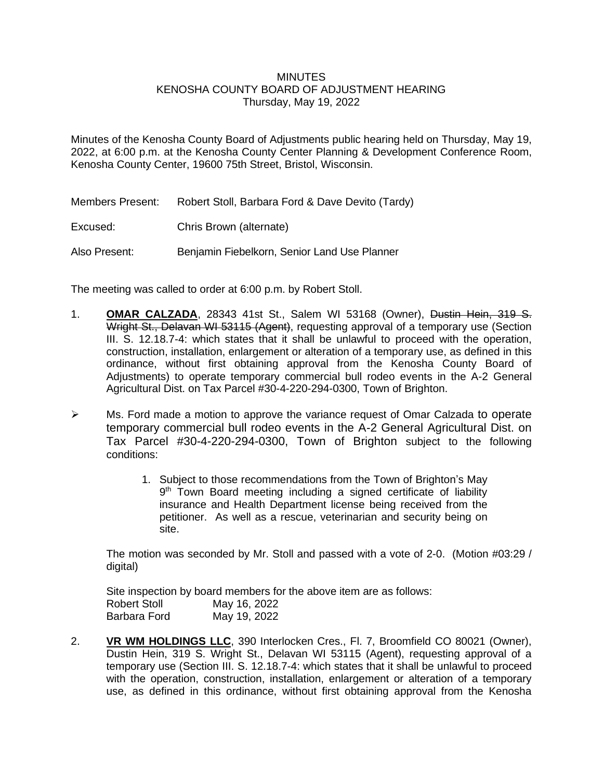## **MINUTES**

## KENOSHA COUNTY BOARD OF ADJUSTMENT HEARING Thursday, May 19, 2022

Minutes of the Kenosha County Board of Adjustments public hearing held on Thursday, May 19, 2022, at 6:00 p.m. at the Kenosha County Center Planning & Development Conference Room, Kenosha County Center, 19600 75th Street, Bristol, Wisconsin.

Members Present: Robert Stoll, Barbara Ford & Dave Devito (Tardy)

Excused: Chris Brown (alternate)

Also Present: Benjamin Fiebelkorn, Senior Land Use Planner

The meeting was called to order at 6:00 p.m. by Robert Stoll.

- 1. **OMAR CALZADA**, 28343 41st St., Salem WI 53168 (Owner), Dustin Hein, 319 S. Wright St., Delavan WI 53115 (Agent), requesting approval of a temporary use (Section III. S. 12.18.7-4: which states that it shall be unlawful to proceed with the operation, construction, installation, enlargement or alteration of a temporary use, as defined in this ordinance, without first obtaining approval from the Kenosha County Board of Adjustments) to operate temporary commercial bull rodeo events in the A-2 General Agricultural Dist. on Tax Parcel #30-4-220-294-0300, Town of Brighton.
- ➢ Ms. Ford made a motion to approve the variance request of Omar Calzada to operate temporary commercial bull rodeo events in the A-2 General Agricultural Dist. on Tax Parcel #30-4-220-294-0300, Town of Brighton subject to the following conditions:
	- 1. Subject to those recommendations from the Town of Brighton's May 9<sup>th</sup> Town Board meeting including a signed certificate of liability insurance and Health Department license being received from the petitioner. As well as a rescue, veterinarian and security being on site.

The motion was seconded by Mr. Stoll and passed with a vote of 2-0. (Motion #03:29 / digital)

Site inspection by board members for the above item are as follows: Robert Stoll May 16, 2022 Barbara Ford May 19, 2022

2. **VR WM HOLDINGS LLC**, 390 Interlocken Cres., Fl. 7, Broomfield CO 80021 (Owner), Dustin Hein, 319 S. Wright St., Delavan WI 53115 (Agent), requesting approval of a temporary use (Section III. S. 12.18.7-4: which states that it shall be unlawful to proceed with the operation, construction, installation, enlargement or alteration of a temporary use, as defined in this ordinance, without first obtaining approval from the Kenosha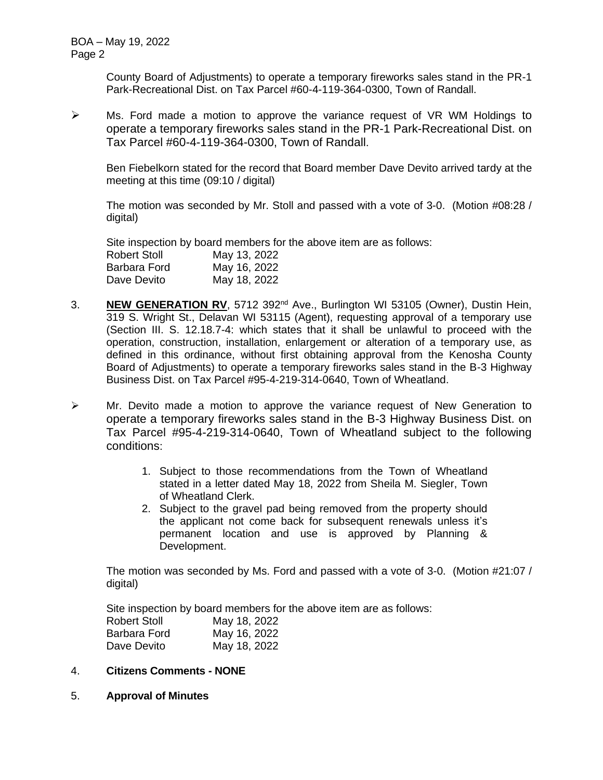County Board of Adjustments) to operate a temporary fireworks sales stand in the PR-1 Park-Recreational Dist. on Tax Parcel #60-4-119-364-0300, Town of Randall.

➢ Ms. Ford made a motion to approve the variance request of VR WM Holdings to operate a temporary fireworks sales stand in the PR-1 Park-Recreational Dist. on Tax Parcel #60-4-119-364-0300, Town of Randall.

Ben Fiebelkorn stated for the record that Board member Dave Devito arrived tardy at the meeting at this time (09:10 / digital)

The motion was seconded by Mr. Stoll and passed with a vote of 3-0. (Motion #08:28 / digital)

Site inspection by board members for the above item are as follows: Robert Stoll May 13, 2022 Barbara Ford May 16, 2022 Dave Devito May 18, 2022

- 3. **NEW GENERATION RV**, 5712 392nd Ave., Burlington WI 53105 (Owner), Dustin Hein, 319 S. Wright St., Delavan WI 53115 (Agent), requesting approval of a temporary use (Section III. S. 12.18.7-4: which states that it shall be unlawful to proceed with the operation, construction, installation, enlargement or alteration of a temporary use, as defined in this ordinance, without first obtaining approval from the Kenosha County Board of Adjustments) to operate a temporary fireworks sales stand in the B-3 Highway Business Dist. on Tax Parcel #95-4-219-314-0640, Town of Wheatland.
- ➢ Mr. Devito made a motion to approve the variance request of New Generation to operate a temporary fireworks sales stand in the B-3 Highway Business Dist. on Tax Parcel #95-4-219-314-0640, Town of Wheatland subject to the following conditions:
	- 1. Subject to those recommendations from the Town of Wheatland stated in a letter dated May 18, 2022 from Sheila M. Siegler, Town of Wheatland Clerk.
	- 2. Subject to the gravel pad being removed from the property should the applicant not come back for subsequent renewals unless it's permanent location and use is approved by Planning & Development.

The motion was seconded by Ms. Ford and passed with a vote of 3-0. (Motion #21:07 / digital)

Site inspection by board members for the above item are as follows:

| <b>Robert Stoll</b> | May 18, 2022 |
|---------------------|--------------|
| Barbara Ford        | May 16, 2022 |
| Dave Devito         | May 18, 2022 |

- 4. **Citizens Comments - NONE**
- 5. **Approval of Minutes**